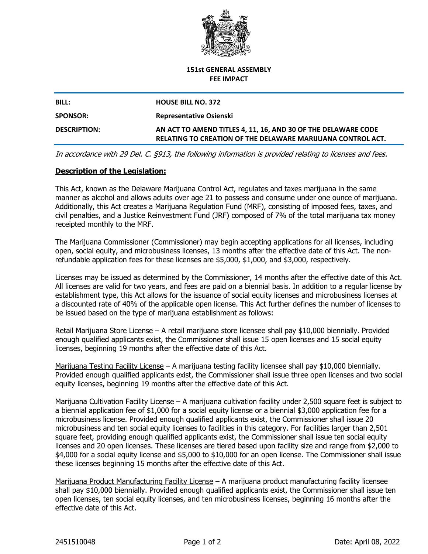

#### **151st GENERAL ASSEMBLY FEE IMPACT**

# **BILL: HOUSE BILL NO. 372 SPONSOR: Representative Osienski DESCRIPTION: AN ACT TO AMEND TITLES 4, 11, 16, AND 30 OF THE DELAWARE CODE RELATING TO CREATION OF THE DELAWARE MARIJUANA CONTROL ACT.**

*In accordance with 29 Del. C. §913, the following information is provided relating to licenses and fees.*

## **Description of the Legislation:**

This Act, known as the Delaware Marijuana Control Act, regulates and taxes marijuana in the same manner as alcohol and allows adults over age 21 to possess and consume under one ounce of marijuana. Additionally, this Act creates a Marijuana Regulation Fund (MRF), consisting of imposed fees, taxes, and civil penalties, and a Justice Reinvestment Fund (JRF) composed of 7% of the total marijuana tax money receipted monthly to the MRF.

The Marijuana Commissioner (Commissioner) may begin accepting applications for all licenses, including open, social equity, and microbusiness licenses, 13 months after the effective date of this Act. The nonrefundable application fees for these licenses are \$5,000, \$1,000, and \$3,000, respectively.

Licenses may be issued as determined by the Commissioner, 14 months after the effective date of this Act. All licenses are valid for two years, and fees are paid on a biennial basis. In addition to a regular license by establishment type, this Act allows for the issuance of social equity licenses and microbusiness licenses at a discounted rate of 40% of the applicable open license. This Act further defines the number of licenses to be issued based on the type of marijuana establishment as follows:

Retail Marijuana Store License – A retail marijuana store licensee shall pay \$10,000 biennially. Provided enough qualified applicants exist, the Commissioner shall issue 15 open licenses and 15 social equity licenses, beginning 19 months after the effective date of this Act.

Marijuana Testing Facility License – A marijuana testing facility licensee shall pay \$10,000 biennially. Provided enough qualified applicants exist, the Commissioner shall issue three open licenses and two social equity licenses, beginning 19 months after the effective date of this Act.

Marijuana Cultivation Facility License – A marijuana cultivation facility under 2,500 square feet is subject to a biennial application fee of \$1,000 for a social equity license or a biennial \$3,000 application fee for a microbusiness license. Provided enough qualified applicants exist, the Commissioner shall issue 20 microbusiness and ten social equity licenses to facilities in this category. For facilities larger than 2,501 square feet, providing enough qualified applicants exist, the Commissioner shall issue ten social equity licenses and 20 open licenses. These licenses are tiered based upon facility size and range from \$2,000 to \$4,000 for a social equity license and \$5,000 to \$10,000 for an open license. The Commissioner shall issue these licenses beginning 15 months after the effective date of this Act.

Marijuana Product Manufacturing Facility License – A marijuana product manufacturing facility licensee shall pay \$10,000 biennially. Provided enough qualified applicants exist, the Commissioner shall issue ten open licenses, ten social equity licenses, and ten microbusiness licenses, beginning 16 months after the effective date of this Act.